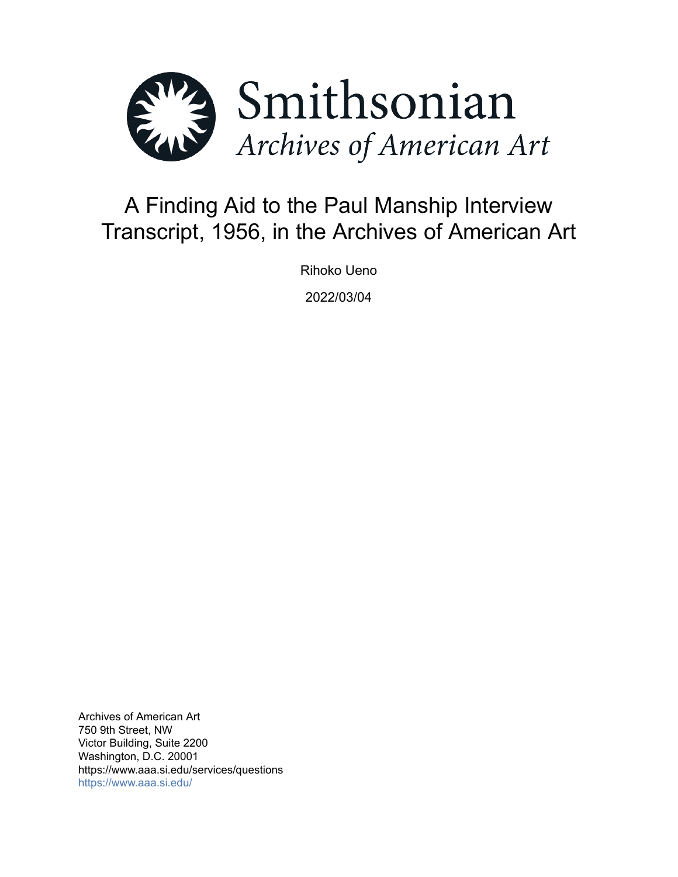

# A Finding Aid to the Paul Manship Interview Transcript, 1956, in the Archives of American Art

Rihoko Ueno

2022/03/04

Archives of American Art 750 9th Street, NW Victor Building, Suite 2200 Washington, D.C. 20001 https://www.aaa.si.edu/services/questions <https://www.aaa.si.edu/>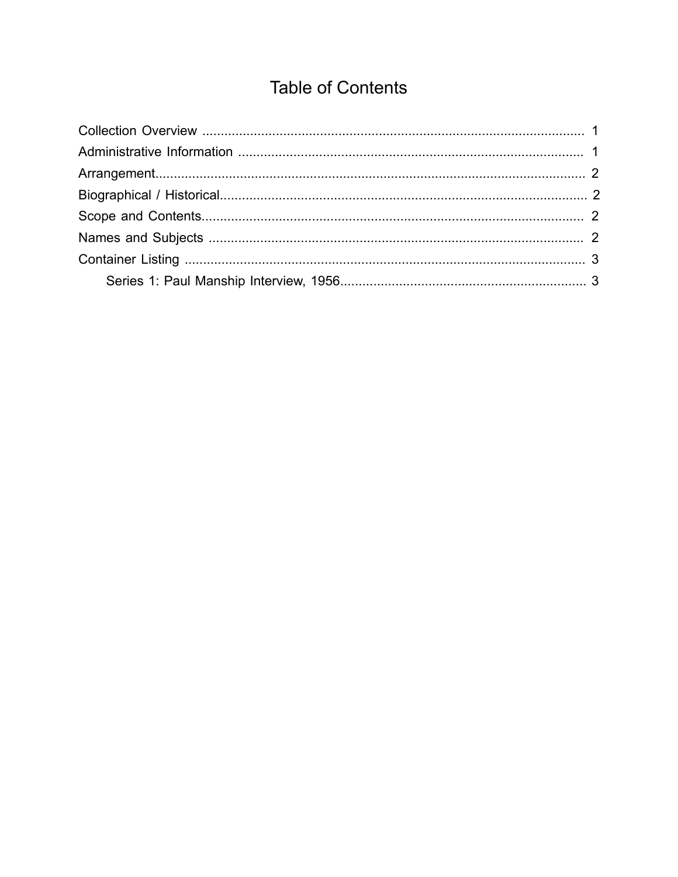## **Table of Contents**

<span id="page-1-0"></span>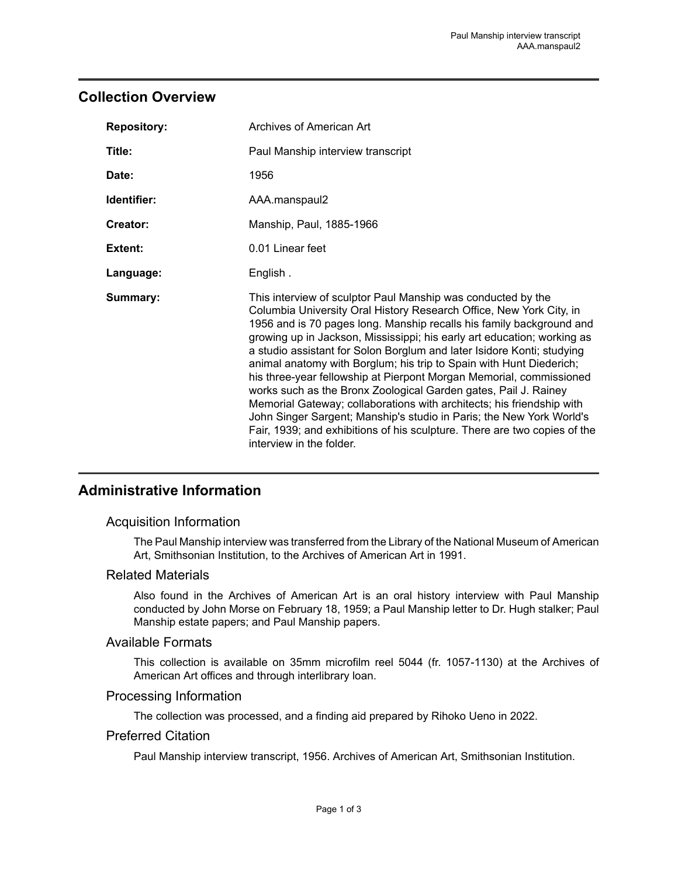## <span id="page-2-0"></span>**Collection Overview**

| <b>Repository:</b> | Archives of American Art                                                                                                                                                                                                                                                                                                                                                                                                                                                                                                                                                                                                                                                                                                                                                                                                                    |
|--------------------|---------------------------------------------------------------------------------------------------------------------------------------------------------------------------------------------------------------------------------------------------------------------------------------------------------------------------------------------------------------------------------------------------------------------------------------------------------------------------------------------------------------------------------------------------------------------------------------------------------------------------------------------------------------------------------------------------------------------------------------------------------------------------------------------------------------------------------------------|
| Title:             | Paul Manship interview transcript                                                                                                                                                                                                                                                                                                                                                                                                                                                                                                                                                                                                                                                                                                                                                                                                           |
| Date:              | 1956                                                                                                                                                                                                                                                                                                                                                                                                                                                                                                                                                                                                                                                                                                                                                                                                                                        |
| Identifier:        | AAA.manspaul2                                                                                                                                                                                                                                                                                                                                                                                                                                                                                                                                                                                                                                                                                                                                                                                                                               |
| Creator:           | Manship, Paul, 1885-1966                                                                                                                                                                                                                                                                                                                                                                                                                                                                                                                                                                                                                                                                                                                                                                                                                    |
| Extent:            | 0.01 Linear feet                                                                                                                                                                                                                                                                                                                                                                                                                                                                                                                                                                                                                                                                                                                                                                                                                            |
| Language:          | English.                                                                                                                                                                                                                                                                                                                                                                                                                                                                                                                                                                                                                                                                                                                                                                                                                                    |
| Summary:           | This interview of sculptor Paul Manship was conducted by the<br>Columbia University Oral History Research Office, New York City, in<br>1956 and is 70 pages long. Manship recalls his family background and<br>growing up in Jackson, Mississippi; his early art education; working as<br>a studio assistant for Solon Borglum and later Isidore Konti; studying<br>animal anatomy with Borglum; his trip to Spain with Hunt Diederich;<br>his three-year fellowship at Pierpont Morgan Memorial, commissioned<br>works such as the Bronx Zoological Garden gates, Pail J. Rainey<br>Memorial Gateway; collaborations with architects; his friendship with<br>John Singer Sargent; Manship's studio in Paris; the New York World's<br>Fair, 1939; and exhibitions of his sculpture. There are two copies of the<br>interview in the folder. |

## <span id="page-2-1"></span>**Administrative Information**

#### Acquisition Information

The Paul Manship interview was transferred from the Library of the National Museum of American Art, Smithsonian Institution, to the Archives of American Art in 1991.

#### Related Materials

Also found in the Archives of American Art is an oral history interview with Paul Manship conducted by John Morse on February 18, 1959; a Paul Manship letter to Dr. Hugh stalker; Paul Manship estate papers; and Paul Manship papers.

#### Available Formats

This collection is available on 35mm microfilm reel 5044 (fr. 1057-1130) at the Archives of American Art offices and through interlibrary loan.

#### Processing Information

The collection was processed, and a finding aid prepared by Rihoko Ueno in 2022.

#### Preferred Citation

Paul Manship interview transcript, 1956. Archives of American Art, Smithsonian Institution.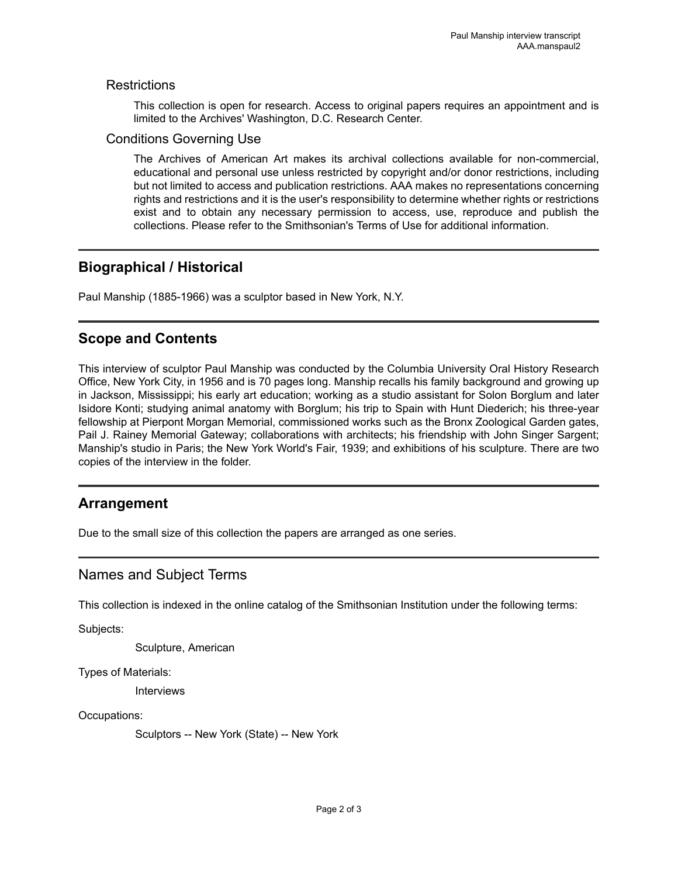#### **Restrictions**

This collection is open for research. Access to original papers requires an appointment and is limited to the Archives' Washington, D.C. Research Center.

#### Conditions Governing Use

The Archives of American Art makes its archival collections available for non-commercial, educational and personal use unless restricted by copyright and/or donor restrictions, including but not limited to access and publication restrictions. AAA makes no representations concerning rights and restrictions and it is the user's responsibility to determine whether rights or restrictions exist and to obtain any necessary permission to access, use, reproduce and publish the collections. Please refer to the Smithsonian's Terms of Use for additional information.

## <span id="page-3-1"></span>**Biographical / Historical**

Paul Manship (1885-1966) was a sculptor based in New York, N.Y.

## <span id="page-3-2"></span>**Scope and Contents**

This interview of sculptor Paul Manship was conducted by the Columbia University Oral History Research Office, New York City, in 1956 and is 70 pages long. Manship recalls his family background and growing up in Jackson, Mississippi; his early art education; working as a studio assistant for Solon Borglum and later Isidore Konti; studying animal anatomy with Borglum; his trip to Spain with Hunt Diederich; his three-year fellowship at Pierpont Morgan Memorial, commissioned works such as the Bronx Zoological Garden gates, Pail J. Rainey Memorial Gateway; collaborations with architects; his friendship with John Singer Sargent; Manship's studio in Paris; the New York World's Fair, 1939; and exhibitions of his sculpture. There are two copies of the interview in the folder.

## <span id="page-3-0"></span>**Arrangement**

Due to the small size of this collection the papers are arranged as one series.

## <span id="page-3-3"></span>Names and Subject Terms

This collection is indexed in the online catalog of the Smithsonian Institution under the following terms:

Subjects:

Sculpture, American

Types of Materials:

**Interviews** 

Occupations:

Sculptors -- New York (State) -- New York